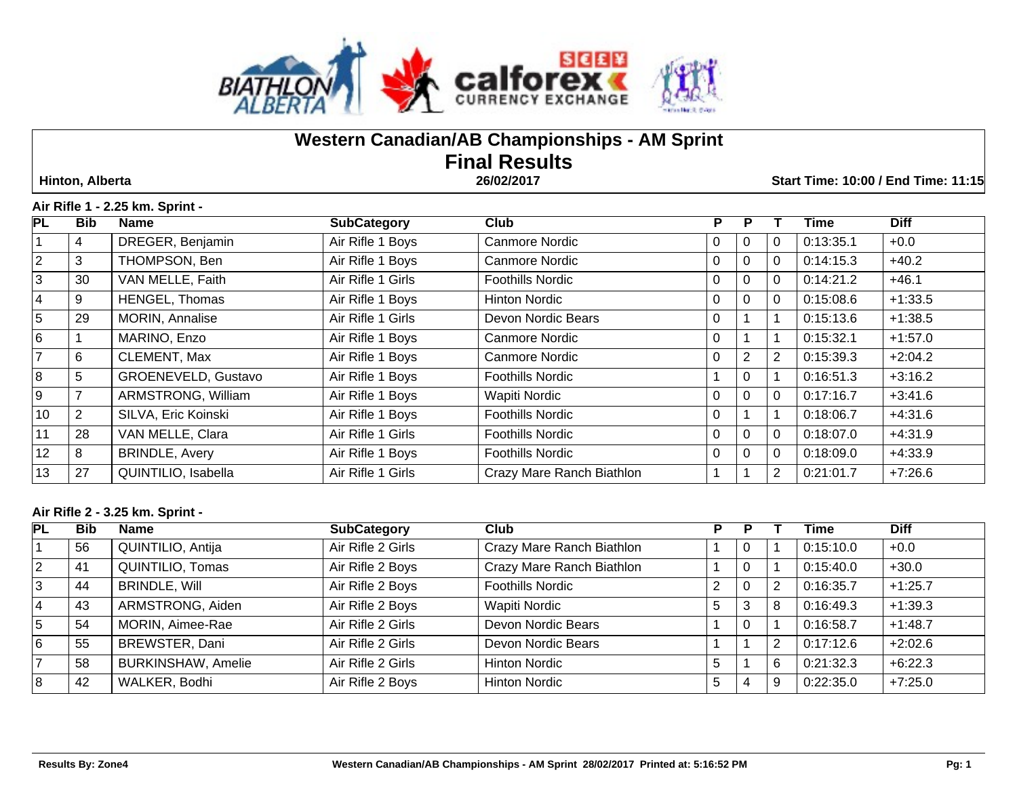

# **Western Canadian/AB Championships - AM Sprint Final Results**

 **Hinton, Alberta 26/02/2017 Start Time: 10:00 / End Time: 11:15**

## **Air Rifle 1 - 2.25 km. Sprint -**

| PL             | <b>Bib</b> | <b>Name</b>           | <b>SubCategory</b> | Club                      | P        |          |             | Time      | <b>Diff</b> |
|----------------|------------|-----------------------|--------------------|---------------------------|----------|----------|-------------|-----------|-------------|
|                | 4          | DREGER, Benjamin      | Air Rifle 1 Boys   | Canmore Nordic            |          | $\Omega$ | 0           | 0:13:35.1 | $+0.0$      |
| $\overline{2}$ | 3          | THOMPSON, Ben         | Air Rifle 1 Boys   | <b>Canmore Nordic</b>     | 0        | 0        | $\mathbf 0$ | 0:14:15.3 | $+40.2$     |
| 3              | 30         | VAN MELLE, Faith      | Air Rifle 1 Girls  | <b>Foothills Nordic</b>   | 0        | 0        | $\Omega$    | 0:14:21.2 | $+46.1$     |
| $\overline{4}$ | 9          | HENGEL, Thomas        | Air Rifle 1 Boys   | <b>Hinton Nordic</b>      | $\Omega$ | $\Omega$ | $\Omega$    | 0:15:08.6 | $+1:33.5$   |
| 5              | 29         | MORIN, Annalise       | Air Rifle 1 Girls  | Devon Nordic Bears        | 0        |          |             | 0:15:13.6 | $+1:38.5$   |
| 6              |            | MARINO, Enzo          | Air Rifle 1 Boys   | <b>Canmore Nordic</b>     | 0        |          |             | 0:15:32.1 | $+1:57.0$   |
| $\overline{7}$ | 6          | CLEMENT, Max          | Air Rifle 1 Boys   | Canmore Nordic            | $\Omega$ | 2        | 2           | 0:15:39.3 | $+2:04.2$   |
| 8              | 5          | GROENEVELD, Gustavo   | Air Rifle 1 Boys   | <b>Foothills Nordic</b>   |          | $\Omega$ |             | 0:16:51.3 | $+3:16.2$   |
| 9              |            | ARMSTRONG, William    | Air Rifle 1 Boys   | <b>Wapiti Nordic</b>      | $\Omega$ | 0        | $\Omega$    | 0:17:16.7 | $+3:41.6$   |
| 10             | 2          | SILVA, Eric Koinski   | Air Rifle 1 Boys   | <b>Foothills Nordic</b>   | $\Omega$ |          |             | 0:18:06.7 | $+4:31.6$   |
| 11             | 28         | VAN MELLE, Clara      | Air Rifle 1 Girls  | <b>Foothills Nordic</b>   | $\Omega$ | $\Omega$ | $\Omega$    | 0:18:07.0 | $+4:31.9$   |
| 12             | 8          | <b>BRINDLE, Avery</b> | Air Rifle 1 Boys   | <b>Foothills Nordic</b>   | $\Omega$ | $\Omega$ | $\Omega$    | 0:18:09.0 | $+4:33.9$   |
| 13             | 27         | QUINTILIO, Isabella   | Air Rifle 1 Girls  | Crazy Mare Ranch Biathlon |          |          | 2           | 0:21:01.7 | $+7:26.6$   |

## **Air Rifle 2 - 3.25 km. Sprint -**

| PL | <b>Bib</b> | Name                      | <b>SubCategory</b> | Club                      | P |          |    | Time      | <b>Diff</b> |
|----|------------|---------------------------|--------------------|---------------------------|---|----------|----|-----------|-------------|
|    | 56         | QUINTILIO, Antija         | Air Rifle 2 Girls  | Crazy Mare Ranch Biathlon |   | 0        |    | 0:15:10.0 | $+0.0$      |
|    | 41         | QUINTILIO, Tomas          | Air Rifle 2 Boys   | Crazy Mare Ranch Biathlon |   | 0        |    | 0:15:40.0 | $+30.0$     |
|    | 44         | <b>BRINDLE, Will</b>      | Air Rifle 2 Boys   | <b>Foothills Nordic</b>   |   | 0        | -2 | 0:16:35.7 | $+1:25.7$   |
|    | 43         | ARMSTRONG, Aiden          | Air Rifle 2 Boys   | Wapiti Nordic             | 5 | 3        | 8  | 0:16:49.3 | $+1:39.3$   |
| 5. | 54         | MORIN, Aimee-Rae          | Air Rifle 2 Girls  | Devon Nordic Bears        |   | $\Omega$ |    | 0:16:58.7 | $+1:48.7$   |
| 6  | 55         | BREWSTER, Dani            | Air Rifle 2 Girls  | Devon Nordic Bears        |   |          | -2 | 0:17:12.6 | $+2:02.6$   |
|    | 58         | <b>BURKINSHAW, Amelie</b> | Air Rifle 2 Girls  | <b>Hinton Nordic</b>      |   |          | 6  | 0:21:32.3 | $+6:22.3$   |
| 8  | 42         | WALKER, Bodhi             | Air Rifle 2 Boys   | <b>Hinton Nordic</b>      | 5 | 4        | ō  | 0:22:35.0 | $+7:25.0$   |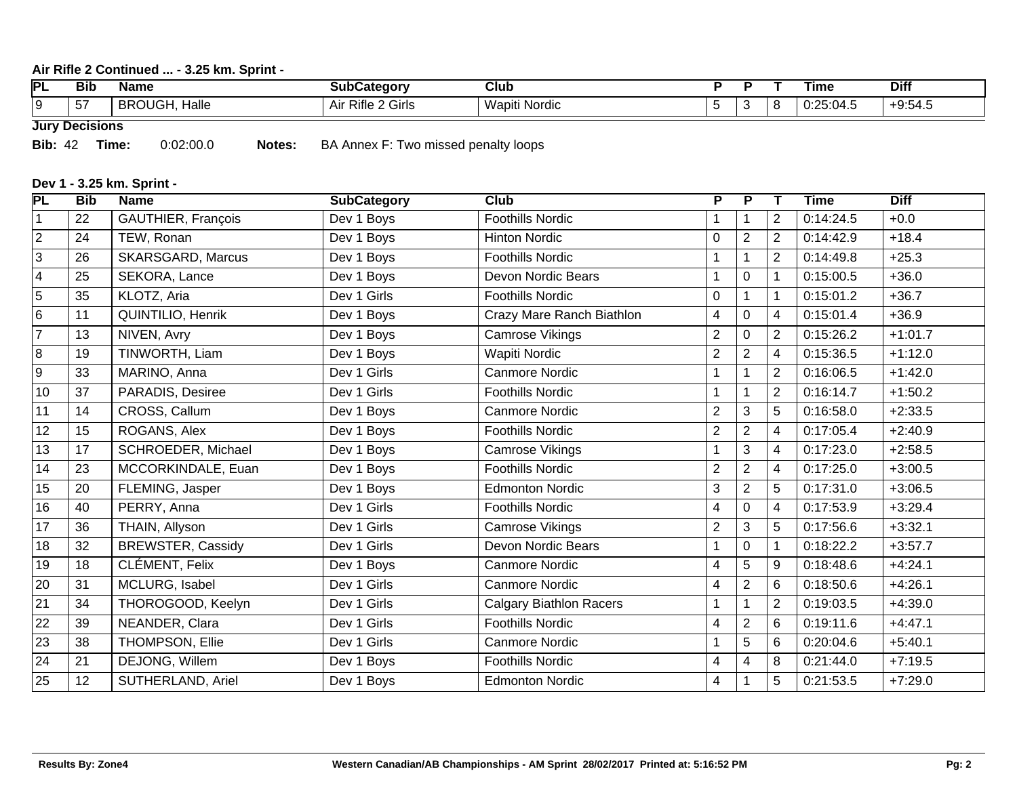## **Air Rifle 2 Continued ... - 3.25 km. Sprint -**

| <b>PL</b> | --<br>Bib         | Name                                  | ∴ateαorv<br>sub      | Club                    |  | Гіmе    | <b>Diff</b>     |
|-----------|-------------------|---------------------------------------|----------------------|-------------------------|--|---------|-----------------|
| . .       | . <b>. .</b><br>∽ | Halle<br>$\sim$<br><b>RRC</b><br>.JVJ | $-1$<br>Air<br>Girls | . .<br>Nordic<br>Wanitr |  | 25:04.5 | $  -$<br>0.04.t |

**Jury Decisions**

**Bib:** 42 **Time:** 0:02:00.0 **Notes:** BA Annex F: Two missed penalty loops

# **Dev 1 - 3.25 km. Sprint -**

| PL              | <b>Bib</b> | <b>Name</b>              | <b>SubCategory</b> | <b>Club</b>                    | P                       | $\overline{P}$          | Т              | <b>Time</b> | <b>Diff</b> |
|-----------------|------------|--------------------------|--------------------|--------------------------------|-------------------------|-------------------------|----------------|-------------|-------------|
| $\vert$ 1       | 22         | GAUTHIER, François       | Dev 1 Boys         | <b>Foothills Nordic</b>        |                         | $\mathbf 1$             | $\overline{2}$ | 0:14:24.5   | $+0.0$      |
| $\overline{2}$  | 24         | TEW, Ronan               | Dev 1 Boys         | <b>Hinton Nordic</b>           | 0                       | $\overline{2}$          | $\overline{2}$ | 0:14:42.9   | $+18.4$     |
| $\overline{3}$  | 26         | <b>SKARSGARD, Marcus</b> | Dev 1 Boys         | <b>Foothills Nordic</b>        | 1                       | 1                       | 2              | 0:14:49.8   | $+25.3$     |
| $\overline{4}$  | 25         | SEKORA, Lance            | Dev 1 Boys         | Devon Nordic Bears             | $\overline{\mathbf{A}}$ | 0                       |                | 0:15:00.5   | $+36.0$     |
| $\overline{5}$  | 35         | KLOTZ, Aria              | Dev 1 Girls        | <b>Foothills Nordic</b>        | 0                       |                         | 1              | 0:15:01.2   | $+36.7$     |
| $6\overline{6}$ | 11         | QUINTILIO, Henrik        | Dev 1 Boys         | Crazy Mare Ranch Biathlon      | $\overline{4}$          | 0                       | 4              | 0:15:01.4   | $+36.9$     |
| $\overline{7}$  | 13         | NIVEN, Avry              | Dev 1 Boys         | <b>Camrose Vikings</b>         | $\overline{2}$          | 0                       | $\overline{2}$ | 0:15:26.2   | $+1:01.7$   |
| $\overline{8}$  | 19         | TINWORTH, Liam           | Dev 1 Boys         | Wapiti Nordic                  | $\overline{2}$          | $\overline{2}$          | 4              | 0:15:36.5   | $+1:12.0$   |
| $\overline{9}$  | 33         | MARINO, Anna             | Dev 1 Girls        | <b>Canmore Nordic</b>          | 1                       | 1                       | $\overline{2}$ | 0:16:06.5   | $+1:42.0$   |
| 10              | 37         | PARADIS, Desiree         | Dev 1 Girls        | <b>Foothills Nordic</b>        | 1                       | 1                       | $\overline{2}$ | 0:16:14.7   | $+1:50.2$   |
| 11              | 14         | CROSS, Callum            | Dev 1 Boys         | <b>Canmore Nordic</b>          | $\overline{2}$          | 3                       | 5              | 0:16:58.0   | $+2:33.5$   |
| 12              | 15         | ROGANS, Alex             | Dev 1 Boys         | <b>Foothills Nordic</b>        | $\overline{2}$          | $\overline{2}$          | 4              | 0:17:05.4   | $+2:40.9$   |
| 13              | 17         | SCHROEDER, Michael       | Dev 1 Boys         | Camrose Vikings                | 1                       | 3                       | 4              | 0:17:23.0   | $+2:58.5$   |
| 14              | 23         | MCCORKINDALE, Euan       | Dev 1 Boys         | <b>Foothills Nordic</b>        | $\overline{2}$          | $\overline{2}$          | 4              | 0:17:25.0   | $+3:00.5$   |
| 15              | 20         | FLEMING, Jasper          | Dev 1 Boys         | <b>Edmonton Nordic</b>         | 3                       | $\overline{2}$          | 5              | 0:17:31.0   | $+3:06.5$   |
| 16              | 40         | PERRY, Anna              | Dev 1 Girls        | <b>Foothills Nordic</b>        | $\overline{4}$          | $\overline{0}$          | 4              | 0:17:53.9   | $+3:29.4$   |
| 17              | 36         | THAIN, Allyson           | Dev 1 Girls        | <b>Camrose Vikings</b>         | $\overline{2}$          | 3                       | 5              | 0:17:56.6   | $+3:32.1$   |
| 18              | 32         | <b>BREWSTER, Cassidy</b> | Dev 1 Girls        | Devon Nordic Bears             | 1                       | 0                       | 1              | 0:18:22.2   | $+3:57.7$   |
| 19              | 18         | CLÉMENT, Felix           | Dev 1 Boys         | <b>Canmore Nordic</b>          | $\overline{4}$          | 5                       | 9              | 0:18:48.6   | $+4:24.1$   |
| 20              | 31         | MCLURG, Isabel           | Dev 1 Girls        | <b>Canmore Nordic</b>          | $\overline{4}$          | $\overline{2}$          | 6              | 0:18:50.6   | $+4:26.1$   |
| 21              | 34         | THOROGOOD, Keelyn        | Dev 1 Girls        | <b>Calgary Biathlon Racers</b> | 1                       | $\mathbf 1$             | $\overline{2}$ | 0:19:03.5   | $+4:39.0$   |
| 22              | 39         | NEANDER, Clara           | Dev 1 Girls        | <b>Foothills Nordic</b>        | 4                       | $\overline{2}$          | 6              | 0:19:11.6   | $+4:47.1$   |
| 23              | 38         | THOMPSON, Ellie          | Dev 1 Girls        | <b>Canmore Nordic</b>          |                         | 5                       | 6              | 0:20:04.6   | $+5:40.1$   |
| 24              | 21         | DEJONG, Willem           | Dev 1 Boys         | <b>Foothills Nordic</b>        | $\overline{4}$          | $\overline{\mathbf{4}}$ | 8              | 0:21:44.0   | $+7:19.5$   |
| 25              | 12         | SUTHERLAND, Ariel        | Dev 1 Boys         | <b>Edmonton Nordic</b>         | $\overline{4}$          |                         | 5              | 0:21:53.5   | $+7:29.0$   |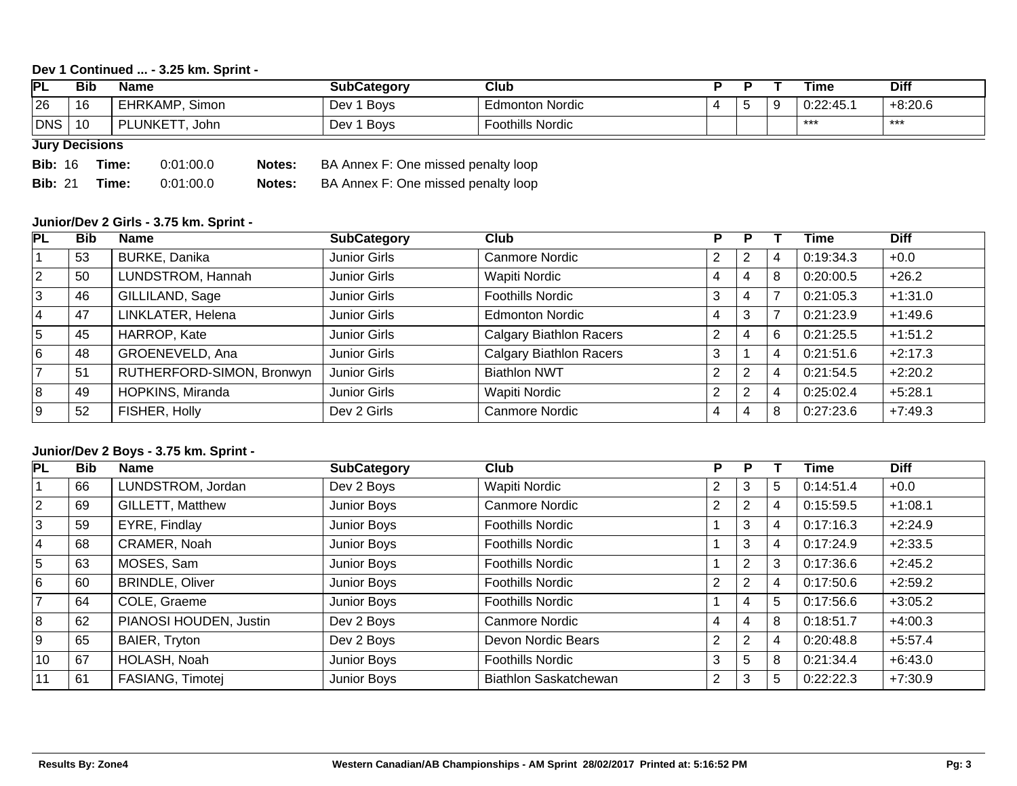## **Dev 1 Continued ... - 3.25 km. Sprint -**

| PL  | <b>Bib</b>                                                                                                                                                                                                                     | <b>Name</b>                   | <b>SubCategory</b> | Club                    |  |   |   | Time      | <b>Diff</b> |  |
|-----|--------------------------------------------------------------------------------------------------------------------------------------------------------------------------------------------------------------------------------|-------------------------------|--------------------|-------------------------|--|---|---|-----------|-------------|--|
| 26  | 16                                                                                                                                                                                                                             | EHRKAMP,<br>Simon             | <b>Boys</b><br>Dev | <b>Edmonton Nordic</b>  |  | ັ | Y | 0:22:45.1 | $+8:20.6$   |  |
| DNS | 10                                                                                                                                                                                                                             | <b>LUNKETT</b><br>ום.<br>John | <b>Boys</b><br>Dev | <b>Foothills Nordic</b> |  |   |   | ***       | ***         |  |
|     | The contract of the contract of the contract of the contract of the contract of the contract of the contract of the contract of the contract of the contract of the contract of the contract of the contract of the contract o |                               |                    |                         |  |   |   |           |             |  |

### **Jury Decisions**

**Bib:** 16 **Time:** 0:01:00.0 **Notes:** BA Annex F: One missed penalty loop **Bib:** 21 **Time:** 0:01:00.0 **Notes:** BA Annex F: One missed penalty loop

#### **Junior/Dev 2 Girls - 3.75 km. Sprint -**

| PL             | <b>Bib</b> | <b>Name</b>               | <b>SubCategory</b> | Club                           | D              |   |   | Time      | <b>Diff</b> |
|----------------|------------|---------------------------|--------------------|--------------------------------|----------------|---|---|-----------|-------------|
|                | 53         | <b>BURKE, Danika</b>      | Junior Girls       | <b>Canmore Nordic</b>          |                | 2 | 4 | 0:19:34.3 | $+0.0$      |
| $ 2\rangle$    | 50         | LUNDSTROM, Hannah         | Junior Girls       | <b>Wapiti Nordic</b>           |                | 4 | 8 | 0:20:00.5 | $+26.2$     |
| 3              | 46         | GILLILAND, Sage           | Junior Girls       | <b>Foothills Nordic</b>        | đ              | 4 |   | 0:21:05.3 | $+1:31.0$   |
| 4              | 47         | LINKLATER, Helena         | Junior Girls       | <b>Edmonton Nordic</b>         |                | 3 |   | 0:21:23.9 | $+1:49.6$   |
| 5              | 45         | HARROP, Kate              | Junior Girls       | <b>Calgary Biathlon Racers</b> | $\overline{2}$ | 4 | 6 | 0:21:25.5 | $+1:51.2$   |
| 6              | 48         | GROENEVELD, Ana           | Junior Girls       | <b>Calgary Biathlon Racers</b> | 3              |   | 4 | 0:21:51.6 | $+2:17.3$   |
| $\overline{7}$ | 51         | RUTHERFORD-SIMON, Bronwyn | Junior Girls       | <b>Biathlon NWT</b>            |                | 2 | 4 | 0:21:54.5 | $+2:20.2$   |
| 8              | 49         | HOPKINS, Miranda          | Junior Girls       | <b>Wapiti Nordic</b>           |                | 2 | 4 | 0:25:02.4 | $+5:28.1$   |
| l 9            | 52         | FISHER, Holly             | Dev 2 Girls        | <b>Canmore Nordic</b>          |                | 4 | 8 | 0:27:23.6 | $+7:49.3$   |

#### **Junior/Dev 2 Boys - 3.75 km. Sprint -**

| PL             | <b>Bib</b> | <b>Name</b>             | <b>SubCategory</b> | Club                         | Р |                |                | Time      | <b>Diff</b> |
|----------------|------------|-------------------------|--------------------|------------------------------|---|----------------|----------------|-----------|-------------|
|                | 66         | LUNDSTROM, Jordan       | Dev 2 Boys         | Wapiti Nordic                |   | 3              | 5              | 0:14:51.4 | $+0.0$      |
| 2              | 69         | <b>GILLETT, Matthew</b> | Junior Boys        | <b>Canmore Nordic</b>        |   | $\overline{2}$ | $\overline{4}$ | 0:15:59.5 | $+1:08.1$   |
| 3              | 59         | EYRE, Findlay           | Junior Boys        | <b>Foothills Nordic</b>      |   | 3              | 4              | 0:17:16.3 | $+2:24.9$   |
| 4              | 68         | CRAMER, Noah            | Junior Boys        | <b>Foothills Nordic</b>      |   | 3              | $\overline{4}$ | 0:17:24.9 | $+2:33.5$   |
| 5              | 63         | MOSES, Sam              | Junior Boys        | <b>Foothills Nordic</b>      |   | $\overline{2}$ | 3              | 0:17:36.6 | $+2:45.2$   |
| 6              | 60         | <b>BRINDLE, Oliver</b>  | Junior Boys        | <b>Foothills Nordic</b>      |   | 2              | 4              | 0:17:50.6 | $+2:59.2$   |
| $\overline{7}$ | 64         | COLE, Graeme            | Junior Boys        | <b>Foothills Nordic</b>      |   | 4              | 5              | 0:17:56.6 | $+3:05.2$   |
| 8              | 62         | PIANOSI HOUDEN, Justin  | Dev 2 Boys         | Canmore Nordic               | 4 | 4              | 8              | 0:18:51.7 | $+4:00.3$   |
| l 9            | 65         | BAIER, Tryton           | Dev 2 Boys         | Devon Nordic Bears           |   | $\overline{2}$ | $\overline{4}$ | 0:20:48.8 | $+5:57.4$   |
| 10             | 67         | HOLASH, Noah            | Junior Boys        | <b>Foothills Nordic</b>      |   | 5              | 8              | 0:21:34.4 | $+6:43.0$   |
| 11             | 61         | FASIANG, Timotej        | Junior Boys        | <b>Biathlon Saskatchewan</b> | ົ | 3              | 5              | 0:22:22.3 | $+7:30.9$   |